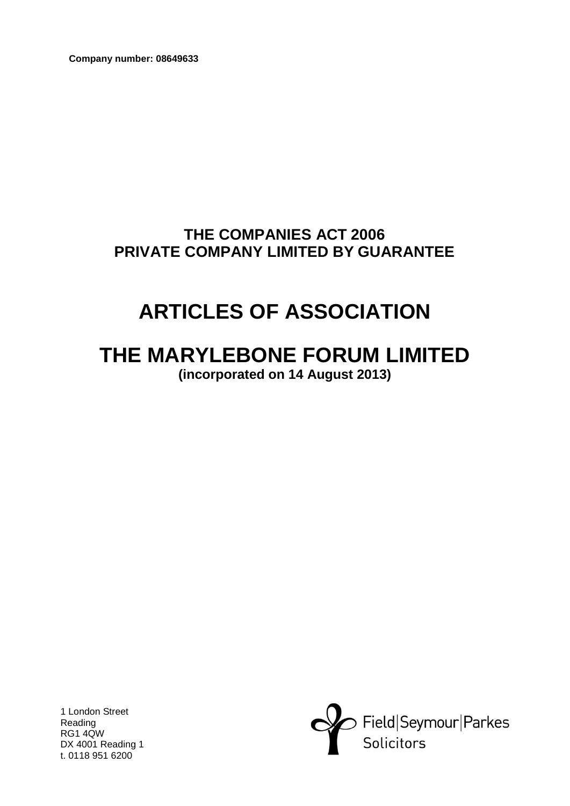**Company number: 08649633**

# **THE COMPANIES ACT 2006 PRIVATE COMPANY LIMITED BY GUARANTEE**

# **ARTICLES OF ASSOCIATION**

# **THE MARYLEBONE FORUM LIMITED (incorporated on 14 August 2013)**

1 London Street Reading RG1 4QW DX 4001 Reading 1 t. 0118 951 6200

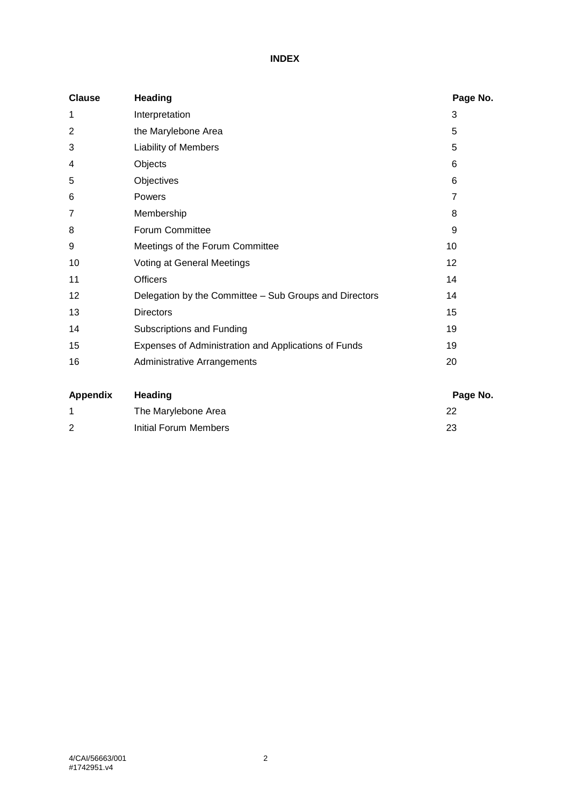# **INDEX**

| <b>Clause</b> | <b>Heading</b>                                         | Page No.        |
|---------------|--------------------------------------------------------|-----------------|
| 1             | Interpretation                                         | 3               |
| 2             | the Marylebone Area                                    | 5               |
| 3             | <b>Liability of Members</b>                            | 5               |
| 4             | Objects                                                | 6               |
| 5             | Objectives                                             | 6               |
| 6             | Powers                                                 | $\overline{7}$  |
| 7             | Membership                                             | 8               |
| 8             | Forum Committee                                        | 9               |
| 9             | Meetings of the Forum Committee                        | 10              |
| 10            | Voting at General Meetings                             | 12 <sup>2</sup> |
| 11            | <b>Officers</b>                                        | 14              |
| 12            | Delegation by the Committee - Sub Groups and Directors | 14              |
| 13            | <b>Directors</b>                                       | 15              |
| 14            | Subscriptions and Funding                              | 19              |
| 15            | Expenses of Administration and Applications of Funds   | 19              |
| 16            | Administrative Arrangements                            | 20              |

| Appendix | Heading               | Page No. |
|----------|-----------------------|----------|
|          | The Marylebone Area   | 22       |
| 2        | Initial Forum Members | 23       |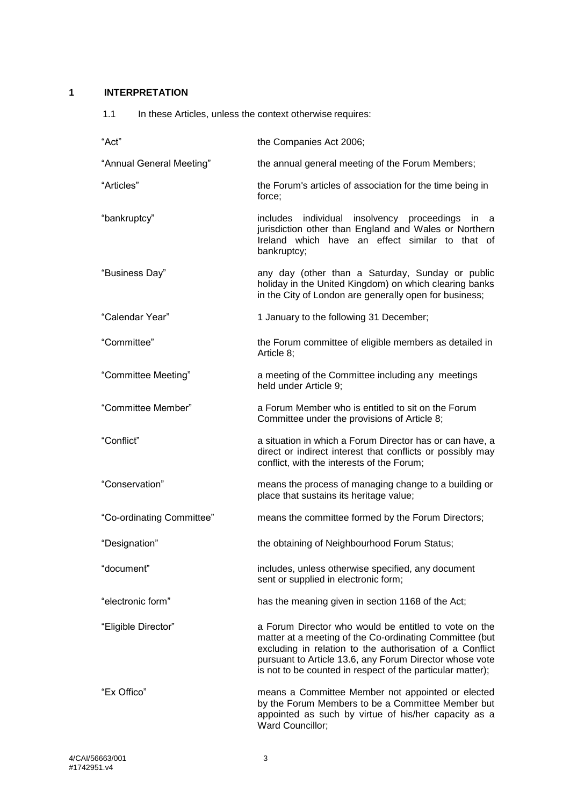## <span id="page-2-0"></span>**1 INTERPRETATION**

| 1.1 |  |  | In these Articles, unless the context otherwise requires: |
|-----|--|--|-----------------------------------------------------------|
|-----|--|--|-----------------------------------------------------------|

| "Act"                     | the Companies Act 2006;                                                                                                                                                                                                                                                                               |
|---------------------------|-------------------------------------------------------------------------------------------------------------------------------------------------------------------------------------------------------------------------------------------------------------------------------------------------------|
| "Annual General Meeting"  | the annual general meeting of the Forum Members;                                                                                                                                                                                                                                                      |
| "Articles"                | the Forum's articles of association for the time being in<br>force;                                                                                                                                                                                                                                   |
| "bankruptcy"              | includes individual insolvency proceedings in a<br>jurisdiction other than England and Wales or Northern<br>Ireland which have an effect similar to that of<br>bankruptcy;                                                                                                                            |
| "Business Day"            | any day (other than a Saturday, Sunday or public<br>holiday in the United Kingdom) on which clearing banks<br>in the City of London are generally open for business;                                                                                                                                  |
| "Calendar Year"           | 1 January to the following 31 December;                                                                                                                                                                                                                                                               |
| "Committee"               | the Forum committee of eligible members as detailed in<br>Article 8:                                                                                                                                                                                                                                  |
| "Committee Meeting"       | a meeting of the Committee including any meetings<br>held under Article 9;                                                                                                                                                                                                                            |
| "Committee Member"        | a Forum Member who is entitled to sit on the Forum<br>Committee under the provisions of Article 8;                                                                                                                                                                                                    |
| "Conflict"                | a situation in which a Forum Director has or can have, a<br>direct or indirect interest that conflicts or possibly may<br>conflict, with the interests of the Forum;                                                                                                                                  |
| "Conservation"            | means the process of managing change to a building or<br>place that sustains its heritage value;                                                                                                                                                                                                      |
| "Co-ordinating Committee" | means the committee formed by the Forum Directors;                                                                                                                                                                                                                                                    |
| "Designation"             | the obtaining of Neighbourhood Forum Status;                                                                                                                                                                                                                                                          |
| "document"                | includes, unless otherwise specified, any document<br>sent or supplied in electronic form;                                                                                                                                                                                                            |
| "electronic form"         | has the meaning given in section 1168 of the Act;                                                                                                                                                                                                                                                     |
| "Eligible Director"       | a Forum Director who would be entitled to vote on the<br>matter at a meeting of the Co-ordinating Committee (but<br>excluding in relation to the authorisation of a Conflict<br>pursuant to Article 13.6, any Forum Director whose vote<br>is not to be counted in respect of the particular matter); |
| "Ex Offico"               | means a Committee Member not appointed or elected<br>by the Forum Members to be a Committee Member but<br>appointed as such by virtue of his/her capacity as a<br>Ward Councillor;                                                                                                                    |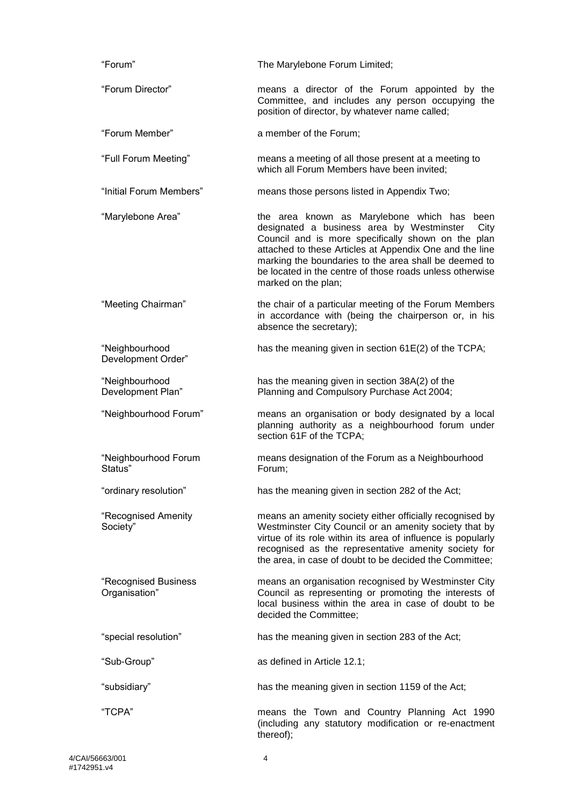| "Forum"                               | The Marylebone Forum Limited;                                                                                                                                                                                                                                                                                                                                    |
|---------------------------------------|------------------------------------------------------------------------------------------------------------------------------------------------------------------------------------------------------------------------------------------------------------------------------------------------------------------------------------------------------------------|
| "Forum Director"                      | means a director of the Forum appointed by the<br>Committee, and includes any person occupying the<br>position of director, by whatever name called;                                                                                                                                                                                                             |
| "Forum Member"                        | a member of the Forum;                                                                                                                                                                                                                                                                                                                                           |
| "Full Forum Meeting"                  | means a meeting of all those present at a meeting to<br>which all Forum Members have been invited;                                                                                                                                                                                                                                                               |
| "Initial Forum Members"               | means those persons listed in Appendix Two;                                                                                                                                                                                                                                                                                                                      |
| "Marylebone Area"                     | the area known as Marylebone which has<br>been<br>designated a business area by Westminster<br>City<br>Council and is more specifically shown on the plan<br>attached to these Articles at Appendix One and the line<br>marking the boundaries to the area shall be deemed to<br>be located in the centre of those roads unless otherwise<br>marked on the plan; |
| "Meeting Chairman"                    | the chair of a particular meeting of the Forum Members<br>in accordance with (being the chairperson or, in his<br>absence the secretary);                                                                                                                                                                                                                        |
| "Neighbourhood<br>Development Order"  | has the meaning given in section 61E(2) of the TCPA;                                                                                                                                                                                                                                                                                                             |
| "Neighbourhood<br>Development Plan"   | has the meaning given in section 38A(2) of the<br>Planning and Compulsory Purchase Act 2004;                                                                                                                                                                                                                                                                     |
| "Neighbourhood Forum"                 | means an organisation or body designated by a local<br>planning authority as a neighbourhood forum under<br>section 61F of the TCPA;                                                                                                                                                                                                                             |
| "Neighbourhood Forum<br>Status"       | means designation of the Forum as a Neighbourhood<br>Forum;                                                                                                                                                                                                                                                                                                      |
| "ordinary resolution"                 | has the meaning given in section 282 of the Act;                                                                                                                                                                                                                                                                                                                 |
| "Recognised Amenity<br>Society"       | means an amenity society either officially recognised by<br>Westminster City Council or an amenity society that by<br>virtue of its role within its area of influence is popularly<br>recognised as the representative amenity society for<br>the area, in case of doubt to be decided the Committee;                                                            |
| "Recognised Business<br>Organisation" | means an organisation recognised by Westminster City<br>Council as representing or promoting the interests of<br>local business within the area in case of doubt to be<br>decided the Committee;                                                                                                                                                                 |
| "special resolution"                  | has the meaning given in section 283 of the Act;                                                                                                                                                                                                                                                                                                                 |
| "Sub-Group"                           | as defined in Article 12.1;                                                                                                                                                                                                                                                                                                                                      |
| "subsidiary"                          | has the meaning given in section 1159 of the Act;                                                                                                                                                                                                                                                                                                                |
| "TCPA"                                | means the Town and Country Planning Act 1990<br>(including any statutory modification or re-enactment<br>thereof);                                                                                                                                                                                                                                               |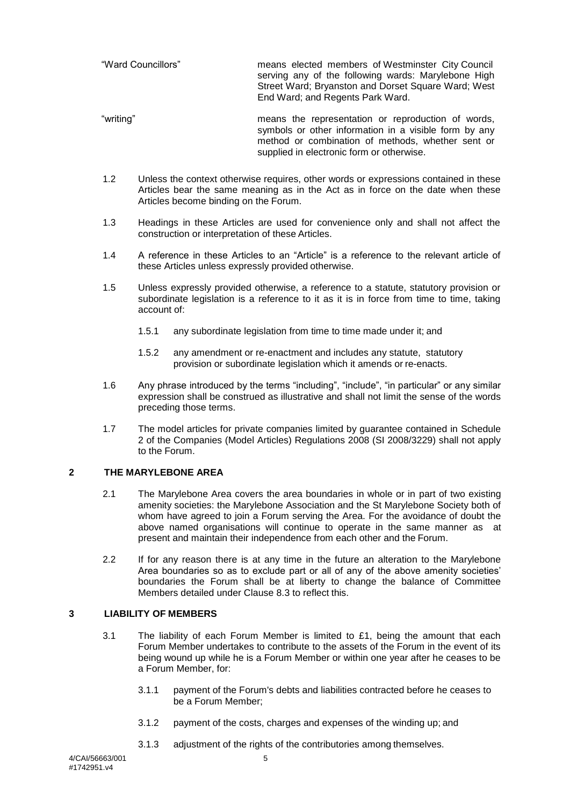| "Ward Councillors" | means elected members of Westminster City Council<br>serving any of the following wards: Marylebone High<br>Street Ward; Bryanston and Dorset Square Ward; West<br>End Ward; and Regents Park Ward. |
|--------------------|-----------------------------------------------------------------------------------------------------------------------------------------------------------------------------------------------------|
|                    |                                                                                                                                                                                                     |

- "writing" means the representation or reproduction of words, symbols or other information in a visible form by any method or combination of methods, whether sent or supplied in electronic form or otherwise.
- 1.2 Unless the context otherwise requires, other words or expressions contained in these Articles bear the same meaning as in the Act as in force on the date when these Articles become binding on the Forum.
- 1.3 Headings in these Articles are used for convenience only and shall not affect the construction or interpretation of these Articles.
- 1.4 A reference in these Articles to an "Article" is a reference to the relevant article of these Articles unless expressly provided otherwise.
- 1.5 Unless expressly provided otherwise, a reference to a statute, statutory provision or subordinate legislation is a reference to it as it is in force from time to time, taking account of:
	- 1.5.1 any subordinate legislation from time to time made under it; and
	- 1.5.2 any amendment or re-enactment and includes any statute, statutory provision or subordinate legislation which it amends or re-enacts.
- 1.6 Any phrase introduced by the terms "including", "include", "in particular" or any similar expression shall be construed as illustrative and shall not limit the sense of the words preceding those terms.
- 1.7 The model articles for private companies limited by guarantee contained in Schedule 2 of the Companies (Model Articles) Regulations 2008 (SI 2008/3229) shall not apply to the Forum.

#### <span id="page-4-0"></span>**2 THE MARYLEBONE AREA**

- 2.1 The Marylebone Area covers the area boundaries in whole or in part of two existing amenity societies: the Marylebone Association and the St Marylebone Society both of whom have agreed to join a Forum serving the Area. For the avoidance of doubt the above named organisations will continue to operate in the same manner as at present and maintain their independence from each other and the Forum.
- 2.2 If for any reason there is at any time in the future an alteration to the Marylebone Area boundaries so as to exclude part or all of any of the above amenity societies' boundaries the Forum shall be at liberty to change the balance of Committee Members detailed under Clause [8.3](#page-8-1) to reflect this.

#### <span id="page-4-1"></span>**3 LIABILITY OF MEMBERS**

- 3.1 The liability of each Forum Member is limited to  $£1$ , being the amount that each Forum Member undertakes to contribute to the assets of the Forum in the event of its being wound up while he is a Forum Member or within one year after he ceases to be a Forum Member, for:
	- 3.1.1 payment of the Forum's debts and liabilities contracted before he ceases to be a Forum Member;
	- 3.1.2 payment of the costs, charges and expenses of the winding up; and
	- 3.1.3 adjustment of the rights of the contributories among themselves.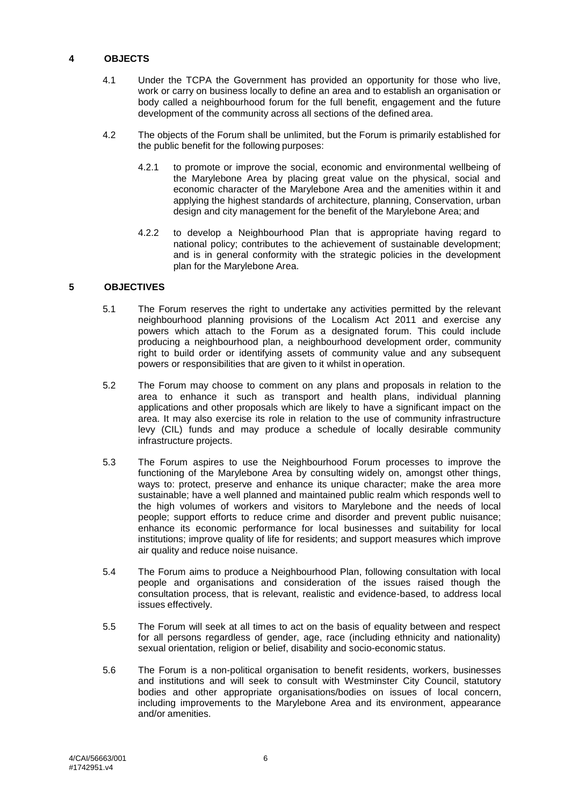#### <span id="page-5-0"></span>**4 OBJECTS**

- 4.1 Under the TCPA the Government has provided an opportunity for those who live, work or carry on business locally to define an area and to establish an organisation or body called a neighbourhood forum for the full benefit, engagement and the future development of the community across all sections of the defined area.
- 4.2 The objects of the Forum shall be unlimited, but the Forum is primarily established for the public benefit for the following purposes:
	- 4.2.1 to promote or improve the social, economic and environmental wellbeing of the Marylebone Area by placing great value on the physical, social and economic character of the Marylebone Area and the amenities within it and applying the highest standards of architecture, planning, Conservation, urban design and city management for the benefit of the Marylebone Area; and
	- 4.2.2 to develop a Neighbourhood Plan that is appropriate having regard to national policy; contributes to the achievement of sustainable development; and is in general conformity with the strategic policies in the development plan for the Marylebone Area.

#### <span id="page-5-1"></span>**5 OBJECTIVES**

- 5.1 The Forum reserves the right to undertake any activities permitted by the relevant neighbourhood planning provisions of the Localism Act 2011 and exercise any powers which attach to the Forum as a designated forum. This could include producing a neighbourhood plan, a neighbourhood development order, community right to build order or identifying assets of community value and any subsequent powers or responsibilities that are given to it whilst in operation.
- 5.2 The Forum may choose to comment on any plans and proposals in relation to the area to enhance it such as transport and health plans, individual planning applications and other proposals which are likely to have a significant impact on the area. It may also exercise its role in relation to the use of community infrastructure levy (CIL) funds and may produce a schedule of locally desirable community infrastructure projects.
- 5.3 The Forum aspires to use the Neighbourhood Forum processes to improve the functioning of the Marylebone Area by consulting widely on, amongst other things, ways to: protect, preserve and enhance its unique character; make the area more sustainable; have a well planned and maintained public realm which responds well to the high volumes of workers and visitors to Marylebone and the needs of local people; support efforts to reduce crime and disorder and prevent public nuisance; enhance its economic performance for local businesses and suitability for local institutions; improve quality of life for residents; and support measures which improve air quality and reduce noise nuisance.
- 5.4 The Forum aims to produce a Neighbourhood Plan, following consultation with local people and organisations and consideration of the issues raised though the consultation process, that is relevant, realistic and evidence-based, to address local issues effectively.
- 5.5 The Forum will seek at all times to act on the basis of equality between and respect for all persons regardless of gender, age, race (including ethnicity and nationality) sexual orientation, religion or belief, disability and socio-economic status.
- 5.6 The Forum is a non-political organisation to benefit residents, workers, businesses and institutions and will seek to consult with Westminster City Council, statutory bodies and other appropriate organisations/bodies on issues of local concern, including improvements to the Marylebone Area and its environment, appearance and/or amenities.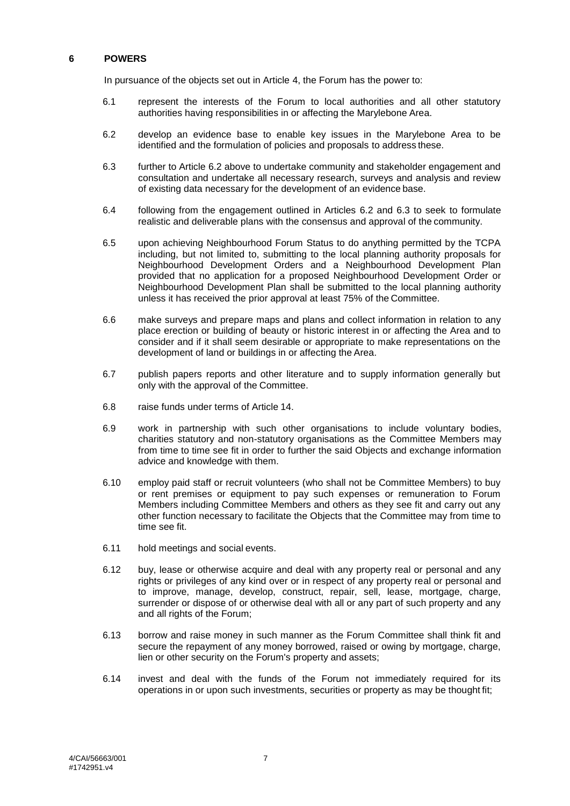#### <span id="page-6-0"></span>**6 POWERS**

In pursuance of the objects set out in Article [4,](#page-5-0) the Forum has the power to:

- 6.1 represent the interests of the Forum to local authorities and all other statutory authorities having responsibilities in or affecting the Marylebone Area.
- <span id="page-6-1"></span>6.2 develop an evidence base to enable key issues in the Marylebone Area to be identified and the formulation of policies and proposals to address these.
- <span id="page-6-2"></span>6.3 further to Article [6.2](#page-6-1) above to undertake community and stakeholder engagement and consultation and undertake all necessary research, surveys and analysis and review of existing data necessary for the development of an evidence base.
- 6.4 following from the engagement outlined in Articles [6.2](#page-6-1) and [6.3](#page-6-2) to seek to formulate realistic and deliverable plans with the consensus and approval of the community.
- 6.5 upon achieving Neighbourhood Forum Status to do anything permitted by the TCPA including, but not limited to, submitting to the local planning authority proposals for Neighbourhood Development Orders and a Neighbourhood Development Plan provided that no application for a proposed Neighbourhood Development Order or Neighbourhood Development Plan shall be submitted to the local planning authority unless it has received the prior approval at least 75% of the Committee.
- 6.6 make surveys and prepare maps and plans and collect information in relation to any place erection or building of beauty or historic interest in or affecting the Area and to consider and if it shall seem desirable or appropriate to make representations on the development of land or buildings in or affecting the Area.
- 6.7 publish papers reports and other literature and to supply information generally but only with the approval of the Committee.
- 6.8 raise funds under terms of Article [14.](#page-18-0)
- 6.9 work in partnership with such other organisations to include voluntary bodies, charities statutory and non-statutory organisations as the Committee Members may from time to time see fit in order to further the said Objects and exchange information advice and knowledge with them.
- 6.10 employ paid staff or recruit volunteers (who shall not be Committee Members) to buy or rent premises or equipment to pay such expenses or remuneration to Forum Members including Committee Members and others as they see fit and carry out any other function necessary to facilitate the Objects that the Committee may from time to time see fit.
- 6.11 hold meetings and social events.
- 6.12 buy, lease or otherwise acquire and deal with any property real or personal and any rights or privileges of any kind over or in respect of any property real or personal and to improve, manage, develop, construct, repair, sell, lease, mortgage, charge, surrender or dispose of or otherwise deal with all or any part of such property and any and all rights of the Forum;
- 6.13 borrow and raise money in such manner as the Forum Committee shall think fit and secure the repayment of any money borrowed, raised or owing by mortgage, charge, lien or other security on the Forum's property and assets;
- 6.14 invest and deal with the funds of the Forum not immediately required for its operations in or upon such investments, securities or property as may be thought fit;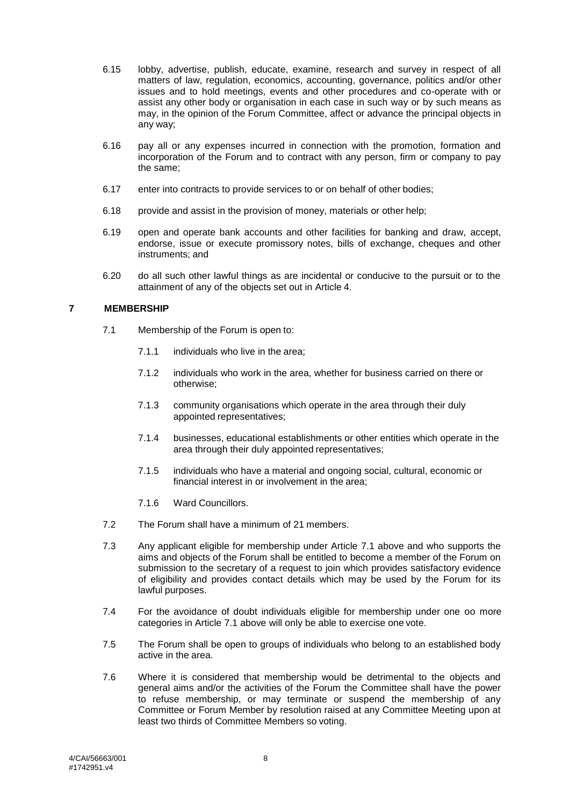- 6.15 lobby, advertise, publish, educate, examine, research and survey in respect of all matters of law, regulation, economics, accounting, governance, politics and/or other issues and to hold meetings, events and other procedures and co-operate with or assist any other body or organisation in each case in such way or by such means as may, in the opinion of the Forum Committee, affect or advance the principal objects in any way;
- 6.16 pay all or any expenses incurred in connection with the promotion, formation and incorporation of the Forum and to contract with any person, firm or company to pay the same;
- 6.17 enter into contracts to provide services to or on behalf of other bodies;
- 6.18 provide and assist in the provision of money, materials or other help;
- 6.19 open and operate bank accounts and other facilities for banking and draw, accept, endorse, issue or execute promissory notes, bills of exchange, cheques and other instruments; and
- 6.20 do all such other lawful things as are incidental or conducive to the pursuit or to the attainment of any of the objects set out in Article [4.](#page-5-0)

# <span id="page-7-1"></span><span id="page-7-0"></span>**7 MEMBERSHIP**

- 7.1 Membership of the Forum is open to:
	- 7.1.1 individuals who live in the area;
	- 7.1.2 individuals who work in the area, whether for business carried on there or otherwise;
	- 7.1.3 community organisations which operate in the area through their duly appointed representatives;
	- 7.1.4 businesses, educational establishments or other entities which operate in the area through their duly appointed representatives;
	- 7.1.5 individuals who have a material and ongoing social, cultural, economic or financial interest in or involvement in the area;
	- 7.1.6 Ward Councillors.
- 7.2 The Forum shall have a minimum of 21 members.
- 7.3 Any applicant eligible for membership under Article [7.1](#page-7-1) above and who supports the aims and objects of the Forum shall be entitled to become a member of the Forum on submission to the secretary of a request to join which provides satisfactory evidence of eligibility and provides contact details which may be used by the Forum for its lawful purposes.
- 7.4 For the avoidance of doubt individuals eligible for membership under one oo more categories in Article [7.1](#page-7-1) above will only be able to exercise one vote.
- 7.5 The Forum shall be open to groups of individuals who belong to an established body active in the area.
- 7.6 Where it is considered that membership would be detrimental to the objects and general aims and/or the activities of the Forum the Committee shall have the power to refuse membership, or may terminate or suspend the membership of any Committee or Forum Member by resolution raised at any Committee Meeting upon at least two thirds of Committee Members so voting.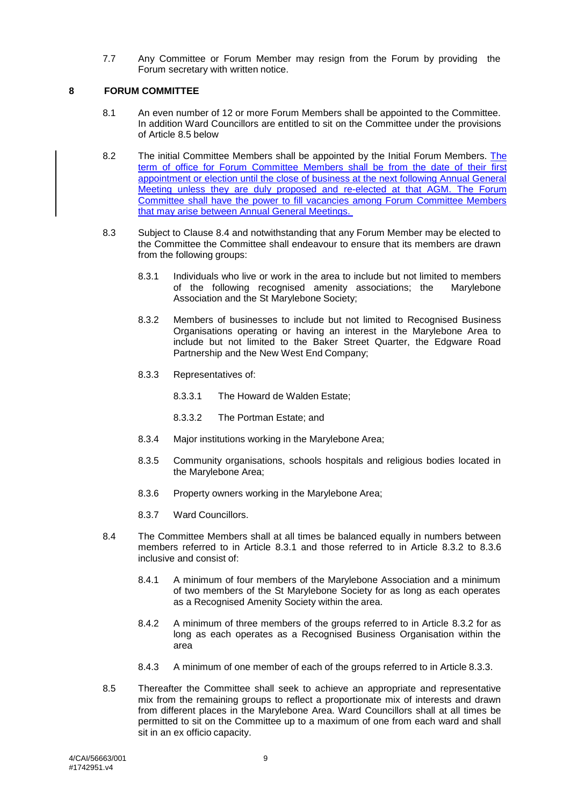7.7 Any Committee or Forum Member may resign from the Forum by providing the Forum secretary with written notice.

#### <span id="page-8-0"></span>**8 FORUM COMMITTEE**

- 8.1 An even number of 12 or more Forum Members shall be appointed to the Committee. In addition Ward Councillors are entitled to sit on the Committee under the provisions of Article [8.5](#page-8-2) below
- 8.2 The initial Committee Members shall be appointed by the Initial Forum Members. The term of office for Forum Committee Members shall be from the date of their first appointment or election until the close of business at the next following Annual General Meeting unless they are duly proposed and re-elected at that AGM. The Forum Committee shall have the power to fill vacancies among Forum Committee Members that may arise between Annual General Meetings.
- <span id="page-8-7"></span><span id="page-8-5"></span><span id="page-8-4"></span><span id="page-8-1"></span>8.3 Subject to Clause [8.4](#page-8-3) and notwithstanding that any Forum Member may be elected to the Committee the Committee shall endeavour to ensure that its members are drawn from the following groups:
	- 8.3.1 Individuals who live or work in the area to include but not limited to members of the following recognised amenity associations; the Marylebone of the following recognised amenity associations; the Association and the St Marylebone Society;
	- 8.3.2 Members of businesses to include but not limited to Recognised Business Organisations operating or having an interest in the Marylebone Area to include but not limited to the Baker Street Quarter, the Edgware Road Partnership and the New West End Company;
	- 8.3.3 Representatives of:
		- 8.3.3.1 The Howard de Walden Estate;
		- 8.3.3.2 The Portman Estate; and
	- 8.3.4 Major institutions working in the Marylebone Area;
	- 8.3.5 Community organisations, schools hospitals and religious bodies located in the Marylebone Area;
	- 8.3.6 Property owners working in the Marylebone Area;
	- 8.3.7 Ward Councillors.
- <span id="page-8-9"></span><span id="page-8-8"></span><span id="page-8-6"></span><span id="page-8-3"></span>8.4 The Committee Members shall at all times be balanced equally in numbers between members referred to in Article [8.3.1](#page-8-4) and those referred to in Article [8.3.2](#page-8-5) to [8.3.6](#page-8-6) inclusive and consist of:
	- 8.4.1 A minimum of four members of the Marylebone Association and a minimum of two members of the St Marylebone Society for as long as each operates as a Recognised Amenity Society within the area.
	- 8.4.2 A minimum of three members of the groups referred to in Article [8.3.2](#page-8-5) for as long as each operates as a Recognised Business Organisation within the area
	- 8.4.3 A minimum of one member of each of the groups referred to in Article [8.3.3.](#page-8-7)
- <span id="page-8-2"></span>8.5 Thereafter the Committee shall seek to achieve an appropriate and representative mix from the remaining groups to reflect a proportionate mix of interests and drawn from different places in the Marylebone Area. Ward Councillors shall at all times be permitted to sit on the Committee up to a maximum of one from each ward and shall sit in an ex officio capacity.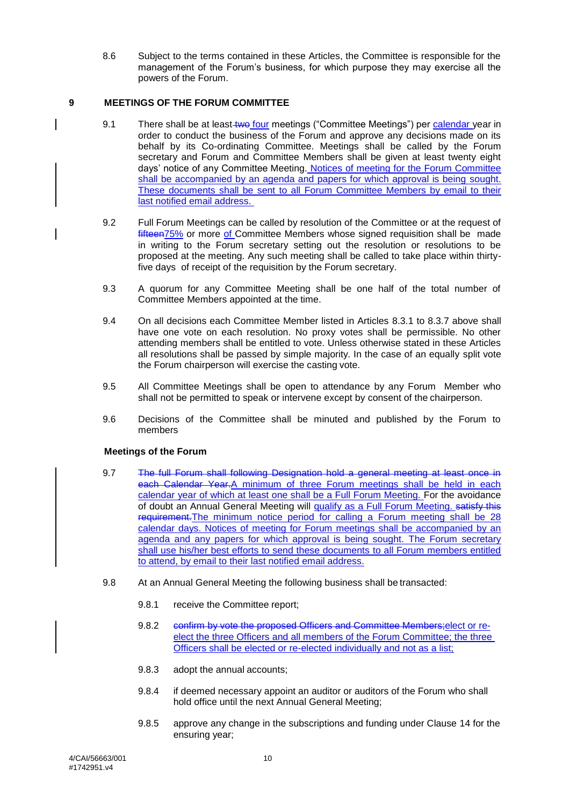8.6 Subject to the terms contained in these Articles, the Committee is responsible for the management of the Forum's business, for which purpose they may exercise all the powers of the Forum.

#### <span id="page-9-0"></span>**9 MEETINGS OF THE FORUM COMMITTEE**

- 9.1 There shall be at least two four meetings ("Committee Meetings") per calendar year in order to conduct the business of the Forum and approve any decisions made on its behalf by its Co-ordinating Committee. Meetings shall be called by the Forum secretary and Forum and Committee Members shall be given at least twenty eight days' notice of any Committee Meeting. Notices of meeting for the Forum Committee shall be accompanied by an agenda and papers for which approval is being sought. These documents shall be sent to all Forum Committee Members by email to their last notified email address.
- 9.2 Full Forum Meetings can be called by resolution of the Committee or at the request of fifteen75% or more of Committee Members whose signed requisition shall be made in writing to the Forum secretary setting out the resolution or resolutions to be proposed at the meeting. Any such meeting shall be called to take place within thirtyfive days of receipt of the requisition by the Forum secretary.
- 9.3 A quorum for any Committee Meeting shall be one half of the total number of Committee Members appointed at the time.
- 9.4 On all decisions each Committee Member listed in Articles [8.3.1](#page-8-4) to [8.3.7](#page-8-8) above shall have one vote on each resolution. No proxy votes shall be permissible. No other attending members shall be entitled to vote. Unless otherwise stated in these Articles all resolutions shall be passed by simple majority. In the case of an equally split vote the Forum chairperson will exercise the casting vote.
- 9.5 All Committee Meetings shall be open to attendance by any Forum Member who shall not be permitted to speak or intervene except by consent of the chairperson.
- 9.6 Decisions of the Committee shall be minuted and published by the Forum to members

#### **Meetings of the Forum**

- 9.7 The full Forum shall following Designation hold a general meeting at least once in each Calendar Year.A minimum of three Forum meetings shall be held in each calendar year of which at least one shall be a Full Forum Meeting. For the avoidance of doubt an Annual General Meeting will qualify as a Full Forum Meeting. satisfy this requirement.The minimum notice period for calling a Forum meeting shall be 28 calendar days. Notices of meeting for Forum meetings shall be accompanied by an agenda and any papers for which approval is being sought. The Forum secretary shall use his/her best efforts to send these documents to all Forum members entitled to attend, by email to their last notified email address.
- 9.8 At an Annual General Meeting the following business shall be transacted:
	- 9.8.1 receive the Committee report;
	- 9.8.2 confirm by vote the proposed Officers and Committee Members; elect or reelect the three Officers and all members of the Forum Committee; the three Officers shall be elected or re-elected individually and not as a list;
	- 9.8.3 adopt the annual accounts;
	- 9.8.4 if deemed necessary appoint an auditor or auditors of the Forum who shall hold office until the next Annual General Meeting;
	- 9.8.5 approve any change in the subscriptions and funding under Clause [14](#page-18-0) for the ensuring year;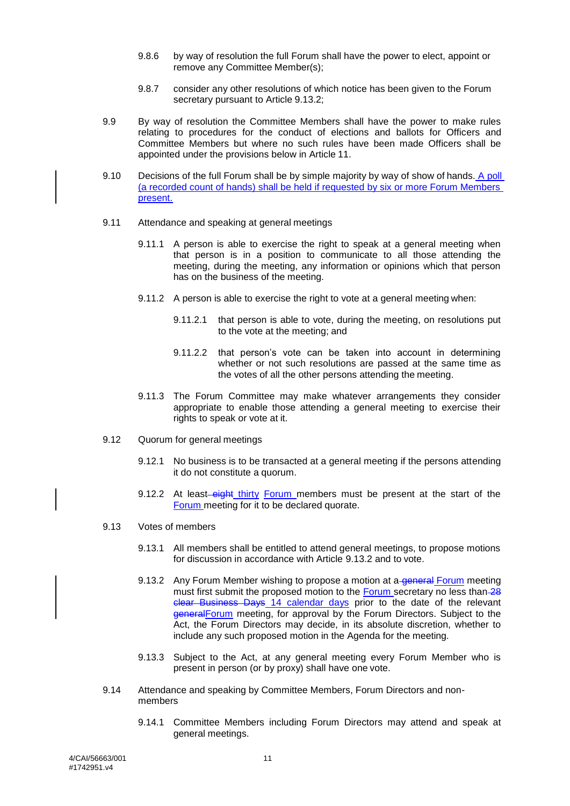- 9.8.6 by way of resolution the full Forum shall have the power to elect, appoint or remove any Committee Member(s);
- 9.8.7 consider any other resolutions of which notice has been given to the Forum secretary pursuant to Article [9.13.2;](#page-10-0)
- 9.9 By way of resolution the Committee Members shall have the power to make rules relating to procedures for the conduct of elections and ballots for Officers and Committee Members but where no such rules have been made Officers shall be appointed under the provisions below in Article [11.](#page-13-0)
- 9.10 Decisions of the full Forum shall be by simple majority by way of show of hands. A poll (a recorded count of hands) shall be held if requested by six or more Forum Members present.
- 9.11 Attendance and speaking at general meetings
	- 9.11.1 A person is able to exercise the right to speak at a general meeting when that person is in a position to communicate to all those attending the meeting, during the meeting, any information or opinions which that person has on the business of the meeting.
	- 9.11.2 A person is able to exercise the right to vote at a general meeting when:
		- 9.11.2.1 that person is able to vote, during the meeting, on resolutions put to the vote at the meeting; and
		- 9.11.2.2 that person's vote can be taken into account in determining whether or not such resolutions are passed at the same time as the votes of all the other persons attending the meeting.
	- 9.11.3 The Forum Committee may make whatever arrangements they consider appropriate to enable those attending a general meeting to exercise their rights to speak or vote at it.
- 9.12 Quorum for general meetings
	- 9.12.1 No business is to be transacted at a general meeting if the persons attending it do not constitute a quorum.
	- 9.12.2 At least-eight thirty Forum members must be present at the start of the Forum meeting for it to be declared quorate.
- <span id="page-10-0"></span>9.13 Votes of members
	- 9.13.1 All members shall be entitled to attend general meetings, to propose motions for discussion in accordance with Article [9.13.2](#page-10-0) and to vote.
	- 9.13.2 Any Forum Member wishing to propose a motion at a general Forum meeting must first submit the proposed motion to the Forum secretary no less than 28 clear Business Days 14 calendar days prior to the date of the relevant generalForum meeting, for approval by the Forum Directors. Subject to the Act, the Forum Directors may decide, in its absolute discretion, whether to include any such proposed motion in the Agenda for the meeting.
	- 9.13.3 Subject to the Act, at any general meeting every Forum Member who is present in person (or by proxy) shall have one vote.
- 9.14 Attendance and speaking by Committee Members, Forum Directors and nonmembers
	- 9.14.1 Committee Members including Forum Directors may attend and speak at general meetings.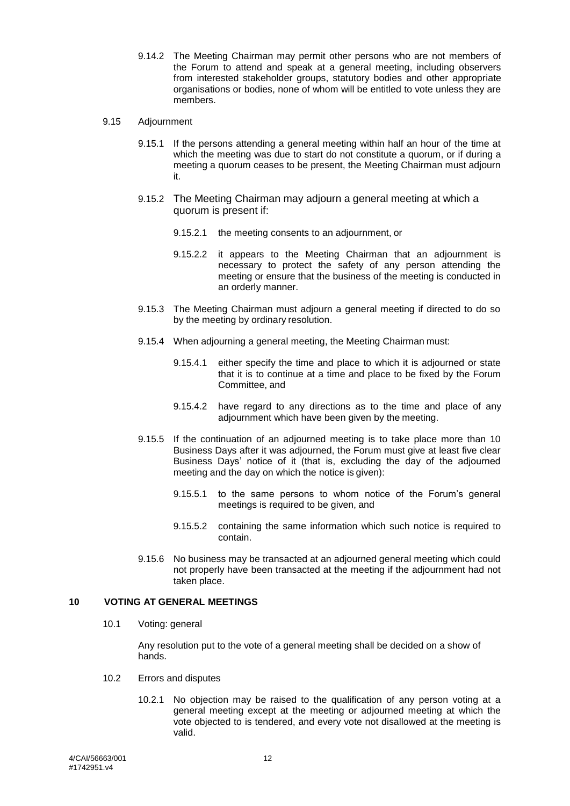9.14.2 The Meeting Chairman may permit other persons who are not members of the Forum to attend and speak at a general meeting, including observers from interested stakeholder groups, statutory bodies and other appropriate organisations or bodies, none of whom will be entitled to vote unless they are members.

#### 9.15 Adjournment

- 9.15.1 If the persons attending a general meeting within half an hour of the time at which the meeting was due to start do not constitute a quorum, or if during a meeting a quorum ceases to be present, the Meeting Chairman must adjourn it.
- 9.15.2 The Meeting Chairman may adjourn a general meeting at which a quorum is present if:
	- 9.15.2.1 the meeting consents to an adjournment, or
	- 9.15.2.2 it appears to the Meeting Chairman that an adjournment is necessary to protect the safety of any person attending the meeting or ensure that the business of the meeting is conducted in an orderly manner.
- 9.15.3 The Meeting Chairman must adjourn a general meeting if directed to do so by the meeting by ordinary resolution.
- 9.15.4 When adjourning a general meeting, the Meeting Chairman must:
	- 9.15.4.1 either specify the time and place to which it is adjourned or state that it is to continue at a time and place to be fixed by the Forum Committee, and
	- 9.15.4.2 have regard to any directions as to the time and place of any adjournment which have been given by the meeting.
- 9.15.5 If the continuation of an adjourned meeting is to take place more than 10 Business Days after it was adjourned, the Forum must give at least five clear Business Days' notice of it (that is, excluding the day of the adjourned meeting and the day on which the notice is given):
	- 9.15.5.1 to the same persons to whom notice of the Forum's general meetings is required to be given, and
	- 9.15.5.2 containing the same information which such notice is required to contain.
- 9.15.6 No business may be transacted at an adjourned general meeting which could not properly have been transacted at the meeting if the adjournment had not taken place.

#### <span id="page-11-0"></span>**10 VOTING AT GENERAL MEETINGS**

10.1 Voting: general

Any resolution put to the vote of a general meeting shall be decided on a show of hands.

- 10.2 Errors and disputes
	- 10.2.1 No objection may be raised to the qualification of any person voting at a general meeting except at the meeting or adjourned meeting at which the vote objected to is tendered, and every vote not disallowed at the meeting is valid.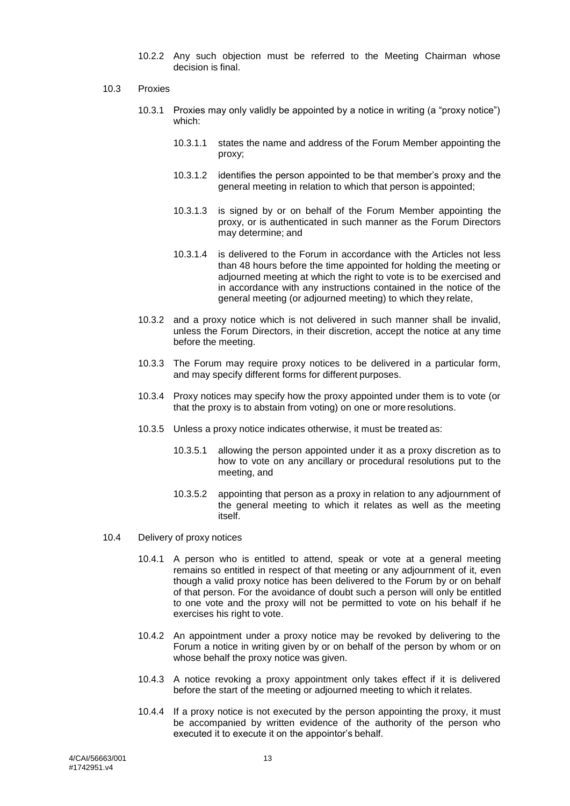- 10.2.2 Any such objection must be referred to the Meeting Chairman whose decision is final.
- 10.3 Proxies
	- 10.3.1 Proxies may only validly be appointed by a notice in writing (a "proxy notice") which:
		- 10.3.1.1 states the name and address of the Forum Member appointing the proxy;
		- 10.3.1.2 identifies the person appointed to be that member's proxy and the general meeting in relation to which that person is appointed;
		- 10.3.1.3 is signed by or on behalf of the Forum Member appointing the proxy, or is authenticated in such manner as the Forum Directors may determine; and
		- 10.3.1.4 is delivered to the Forum in accordance with the Articles not less than 48 hours before the time appointed for holding the meeting or adjourned meeting at which the right to vote is to be exercised and in accordance with any instructions contained in the notice of the general meeting (or adjourned meeting) to which they relate,
	- 10.3.2 and a proxy notice which is not delivered in such manner shall be invalid, unless the Forum Directors, in their discretion, accept the notice at any time before the meeting.
	- 10.3.3 The Forum may require proxy notices to be delivered in a particular form, and may specify different forms for different purposes.
	- 10.3.4 Proxy notices may specify how the proxy appointed under them is to vote (or that the proxy is to abstain from voting) on one or more resolutions.
	- 10.3.5 Unless a proxy notice indicates otherwise, it must be treated as:
		- 10.3.5.1 allowing the person appointed under it as a proxy discretion as to how to vote on any ancillary or procedural resolutions put to the meeting, and
		- 10.3.5.2 appointing that person as a proxy in relation to any adjournment of the general meeting to which it relates as well as the meeting itself.
- 10.4 Delivery of proxy notices
	- 10.4.1 A person who is entitled to attend, speak or vote at a general meeting remains so entitled in respect of that meeting or any adjournment of it, even though a valid proxy notice has been delivered to the Forum by or on behalf of that person. For the avoidance of doubt such a person will only be entitled to one vote and the proxy will not be permitted to vote on his behalf if he exercises his right to vote.
	- 10.4.2 An appointment under a proxy notice may be revoked by delivering to the Forum a notice in writing given by or on behalf of the person by whom or on whose behalf the proxy notice was given.
	- 10.4.3 A notice revoking a proxy appointment only takes effect if it is delivered before the start of the meeting or adjourned meeting to which it relates.
	- 10.4.4 If a proxy notice is not executed by the person appointing the proxy, it must be accompanied by written evidence of the authority of the person who executed it to execute it on the appointor's behalf.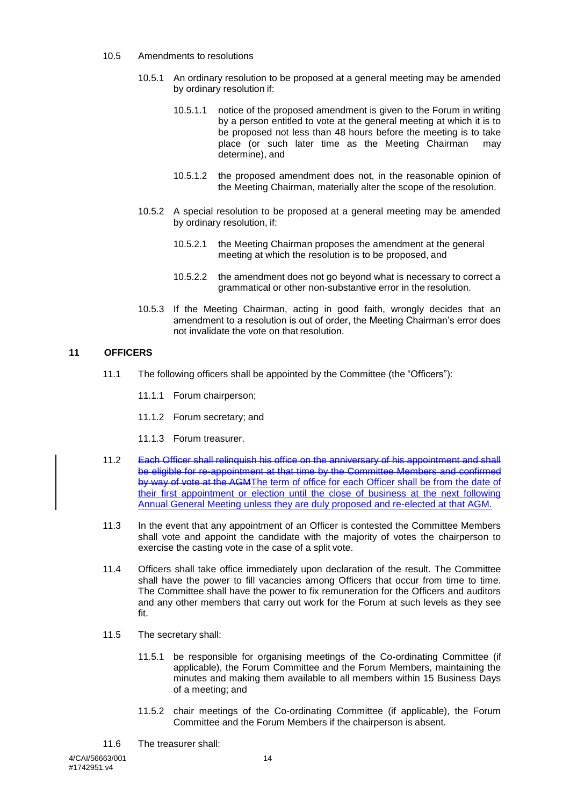- 10.5 Amendments to resolutions
	- 10.5.1 An ordinary resolution to be proposed at a general meeting may be amended by ordinary resolution if:
		- 10.5.1.1 notice of the proposed amendment is given to the Forum in writing by a person entitled to vote at the general meeting at which it is to be proposed not less than 48 hours before the meeting is to take place (or such later time as the Meeting Chairman may determine), and
		- 10.5.1.2 the proposed amendment does not, in the reasonable opinion of the Meeting Chairman, materially alter the scope of the resolution.
	- 10.5.2 A special resolution to be proposed at a general meeting may be amended by ordinary resolution, if:
		- 10.5.2.1 the Meeting Chairman proposes the amendment at the general meeting at which the resolution is to be proposed, and
		- 10.5.2.2 the amendment does not go beyond what is necessary to correct a grammatical or other non-substantive error in the resolution.
	- 10.5.3 If the Meeting Chairman, acting in good faith, wrongly decides that an amendment to a resolution is out of order, the Meeting Chairman's error does not invalidate the vote on that resolution.

#### <span id="page-13-0"></span>**11 OFFICERS**

- 11.1 The following officers shall be appointed by the Committee (the "Officers"):
	- 11.1.1 Forum chairperson;
	- 11.1.2 Forum secretary; and
	- 11.1.3 Forum treasurer.
- 11.2 Each Officer shall relinquish his office on the anniversary of his appointment and shall be eligible for re-appointment at that time by the Committee Members and confirmed by way of vote at the AGMThe term of office for each Officer shall be from the date of their first appointment or election until the close of business at the next following Annual General Meeting unless they are duly proposed and re-elected at that AGM.
- 11.3 In the event that any appointment of an Officer is contested the Committee Members shall vote and appoint the candidate with the majority of votes the chairperson to exercise the casting vote in the case of a split vote.
- 11.4 Officers shall take office immediately upon declaration of the result. The Committee shall have the power to fill vacancies among Officers that occur from time to time. The Committee shall have the power to fix remuneration for the Officers and auditors and any other members that carry out work for the Forum at such levels as they see fit.
- 11.5 The secretary shall:
	- 11.5.1 be responsible for organising meetings of the Co-ordinating Committee (if applicable), the Forum Committee and the Forum Members, maintaining the minutes and making them available to all members within 15 Business Days of a meeting; and
	- 11.5.2 chair meetings of the Co-ordinating Committee (if applicable), the Forum Committee and the Forum Members if the chairperson is absent.
- 11.6 The treasurer shall: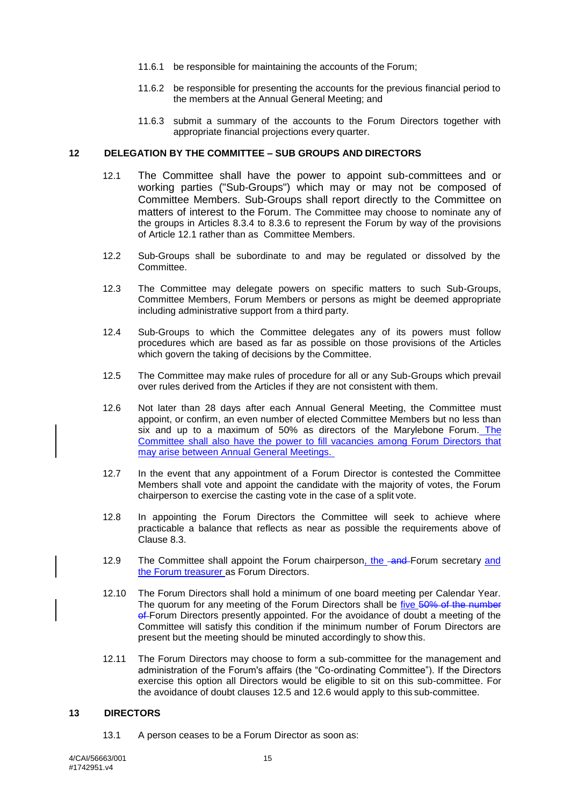- 11.6.1 be responsible for maintaining the accounts of the Forum;
- 11.6.2 be responsible for presenting the accounts for the previous financial period to the members at the Annual General Meeting; and
- 11.6.3 submit a summary of the accounts to the Forum Directors together with appropriate financial projections every quarter.

#### <span id="page-14-2"></span><span id="page-14-0"></span>**12 DELEGATION BY THE COMMITTEE – SUB GROUPS AND DIRECTORS**

- 12.1 The Committee shall have the power to appoint sub-committees and or working parties ("Sub-Groups") which may or may not be composed of Committee Members. Sub-Groups shall report directly to the Committee on matters of interest to the Forum. The Committee may choose to nominate any of the groups in Articles [8.3.4](#page-8-9) to [8.3.6](#page-8-6) to represent the Forum by way of the provisions of Article [12.1](#page-14-2) rather than as Committee Members.
- 12.2 Sub-Groups shall be subordinate to and may be regulated or dissolved by the Committee.
- 12.3 The Committee may delegate powers on specific matters to such Sub-Groups, Committee Members, Forum Members or persons as might be deemed appropriate including administrative support from a third party.
- <span id="page-14-3"></span>12.4 Sub-Groups to which the Committee delegates any of its powers must follow procedures which are based as far as possible on those provisions of the Articles which govern the taking of decisions by the Committee.
- <span id="page-14-4"></span>12.5 The Committee may make rules of procedure for all or any Sub-Groups which prevail over rules derived from the Articles if they are not consistent with them.
- 12.6 Not later than 28 days after each Annual General Meeting, the Committee must appoint, or confirm, an even number of elected Committee Members but no less than six and up to a maximum of 50% as directors of the Marylebone Forum. The Committee shall also have the power to fill vacancies among Forum Directors that may arise between Annual General Meetings.
- 12.7 In the event that any appointment of a Forum Director is contested the Committee Members shall vote and appoint the candidate with the majority of votes, the Forum chairperson to exercise the casting vote in the case of a split vote.
- 12.8 In appointing the Forum Directors the Committee will seek to achieve where practicable a balance that reflects as near as possible the requirements above of Clause [8.3.](#page-8-1)
- 12.9 The Committee shall appoint the Forum chairperson, the and-Forum secretary and the Forum treasurer as Forum Directors.
- 12.10 The Forum Directors shall hold a minimum of one board meeting per Calendar Year. The quorum for any meeting of the Forum Directors shall be five 50% of the number of-Forum Directors presently appointed. For the avoidance of doubt a meeting of the Committee will satisfy this condition if the minimum number of Forum Directors are present but the meeting should be minuted accordingly to show this.
- 12.11 The Forum Directors may choose to form a sub-committee for the management and administration of the Forum's affairs (the "Co-ordinating Committee"). If the Directors exercise this option all Directors would be eligible to sit on this sub-committee. For the avoidance of doubt clauses [12.5](#page-14-3) and [12.6](#page-14-4) would apply to this sub-committee.

#### <span id="page-14-1"></span>**13 DIRECTORS**

13.1 A person ceases to be a Forum Director as soon as: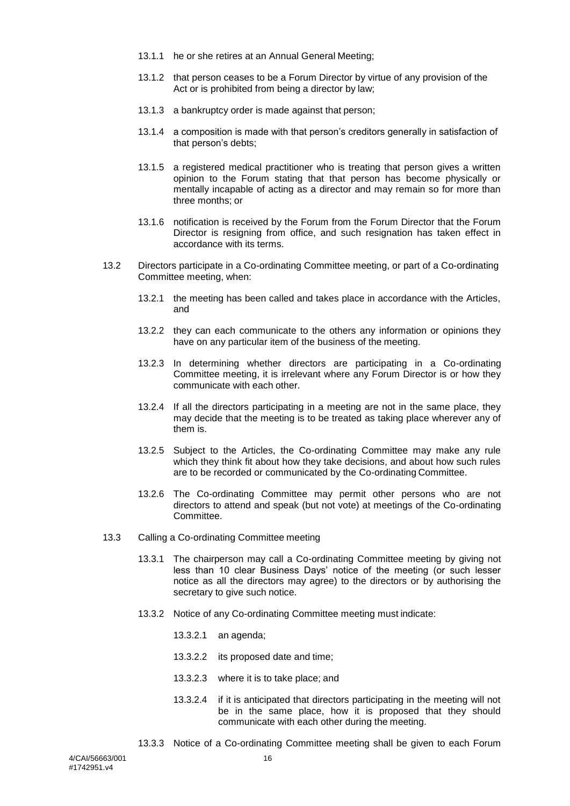- 13.1.1 he or she retires at an Annual General Meeting;
- 13.1.2 that person ceases to be a Forum Director by virtue of any provision of the Act or is prohibited from being a director by law;
- 13.1.3 a bankruptcy order is made against that person;
- 13.1.4 a composition is made with that person's creditors generally in satisfaction of that person's debts;
- 13.1.5 a registered medical practitioner who is treating that person gives a written opinion to the Forum stating that that person has become physically or mentally incapable of acting as a director and may remain so for more than three months; or
- 13.1.6 notification is received by the Forum from the Forum Director that the Forum Director is resigning from office, and such resignation has taken effect in accordance with its terms.
- 13.2 Directors participate in a Co-ordinating Committee meeting, or part of a Co-ordinating Committee meeting, when:
	- 13.2.1 the meeting has been called and takes place in accordance with the Articles, and
	- 13.2.2 they can each communicate to the others any information or opinions they have on any particular item of the business of the meeting.
	- 13.2.3 In determining whether directors are participating in a Co-ordinating Committee meeting, it is irrelevant where any Forum Director is or how they communicate with each other.
	- 13.2.4 If all the directors participating in a meeting are not in the same place, they may decide that the meeting is to be treated as taking place wherever any of them is.
	- 13.2.5 Subject to the Articles, the Co-ordinating Committee may make any rule which they think fit about how they take decisions, and about how such rules are to be recorded or communicated by the Co-ordinating Committee.
	- 13.2.6 The Co-ordinating Committee may permit other persons who are not directors to attend and speak (but not vote) at meetings of the Co-ordinating Committee.
- 13.3 Calling a Co-ordinating Committee meeting
	- 13.3.1 The chairperson may call a Co-ordinating Committee meeting by giving not less than 10 clear Business Days' notice of the meeting (or such lesser notice as all the directors may agree) to the directors or by authorising the secretary to give such notice.
	- 13.3.2 Notice of any Co-ordinating Committee meeting must indicate:
		- 13.3.2.1 an agenda;
		- 13.3.2.2 its proposed date and time;
		- 13.3.2.3 where it is to take place; and
		- 13.3.2.4 if it is anticipated that directors participating in the meeting will not be in the same place, how it is proposed that they should communicate with each other during the meeting.
	- 13.3.3 Notice of a Co-ordinating Committee meeting shall be given to each Forum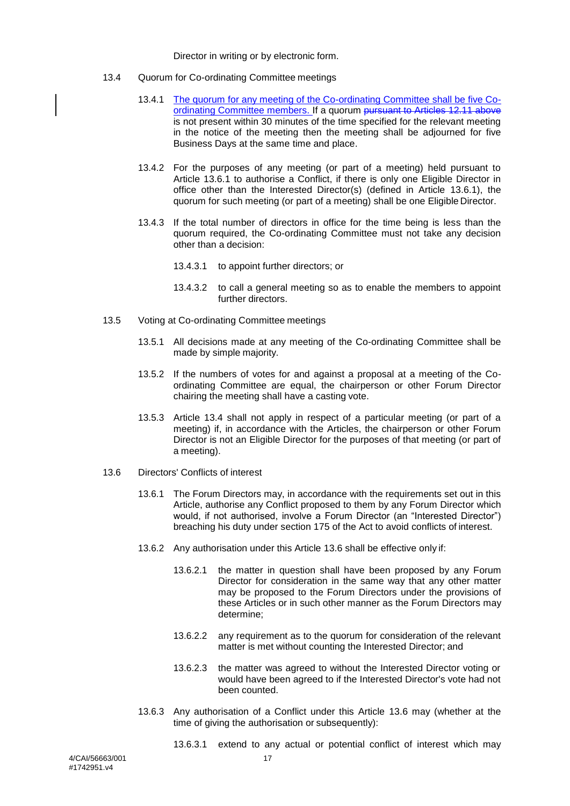#### Director in writing or by electronic form.

- <span id="page-16-3"></span><span id="page-16-2"></span>13.4 Quorum for Co-ordinating Committee meetings
	- 13.4.1 The quorum for any meeting of the Co-ordinating Committee shall be five Coordinating Committee members. If a quorum pursuant to Articles 12.11 above is not present within 30 minutes of the time specified for the relevant meeting in the notice of the meeting then the meeting shall be adjourned for five Business Days at the same time and place.
	- 13.4.2 For the purposes of any meeting (or part of a meeting) held pursuant to Article [13.6.1](#page-16-1) to authorise a Conflict, if there is only one Eligible Director in office other than the Interested Director(s) (defined in Article [13.6.1\)](#page-16-1), the quorum for such meeting (or part of a meeting) shall be one Eligible Director.
	- 13.4.3 If the total number of directors in office for the time being is less than the quorum required, the Co-ordinating Committee must not take any decision other than a decision:
		- 13.4.3.1 to appoint further directors; or
		- 13.4.3.2 to call a general meeting so as to enable the members to appoint further directors.
- 13.5 Voting at Co-ordinating Committee meetings
	- 13.5.1 All decisions made at any meeting of the Co-ordinating Committee shall be made by simple majority.
	- 13.5.2 If the numbers of votes for and against a proposal at a meeting of the Coordinating Committee are equal, the chairperson or other Forum Director chairing the meeting shall have a casting vote.
	- 13.5.3 Article [13.4](#page-16-2) shall not apply in respect of a particular meeting (or part of a meeting) if, in accordance with the Articles, the chairperson or other Forum Director is not an Eligible Director for the purposes of that meeting (or part of a meeting).
- <span id="page-16-1"></span><span id="page-16-0"></span>13.6 Directors' Conflicts of interest
	- 13.6.1 The Forum Directors may, in accordance with the requirements set out in this Article, authorise any Conflict proposed to them by any Forum Director which would, if not authorised, involve a Forum Director (an "Interested Director") breaching his duty under section 175 of the Act to avoid conflicts of interest.
	- 13.6.2 Any authorisation under this Article [13.6](#page-16-0) shall be effective only if:
		- 13.6.2.1 the matter in question shall have been proposed by any Forum Director for consideration in the same way that any other matter may be proposed to the Forum Directors under the provisions of these Articles or in such other manner as the Forum Directors may determine;
		- 13.6.2.2 any requirement as to the quorum for consideration of the relevant matter is met without counting the Interested Director; and
		- 13.6.2.3 the matter was agreed to without the Interested Director voting or would have been agreed to if the Interested Director's vote had not been counted.
	- 13.6.3 Any authorisation of a Conflict under this Article [13.6](#page-16-0) may (whether at the time of giving the authorisation or subsequently):
		- 13.6.3.1 extend to any actual or potential conflict of interest which may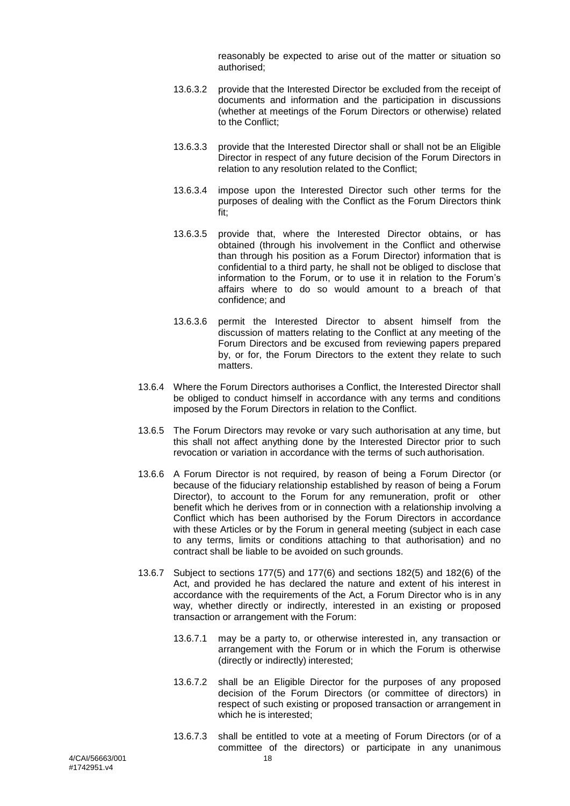reasonably be expected to arise out of the matter or situation so authorised;

- 13.6.3.2 provide that the Interested Director be excluded from the receipt of documents and information and the participation in discussions (whether at meetings of the Forum Directors or otherwise) related to the Conflict;
- 13.6.3.3 provide that the Interested Director shall or shall not be an Eligible Director in respect of any future decision of the Forum Directors in relation to any resolution related to the Conflict;
- 13.6.3.4 impose upon the Interested Director such other terms for the purposes of dealing with the Conflict as the Forum Directors think fit;
- 13.6.3.5 provide that, where the Interested Director obtains, or has obtained (through his involvement in the Conflict and otherwise than through his position as a Forum Director) information that is confidential to a third party, he shall not be obliged to disclose that information to the Forum, or to use it in relation to the Forum's affairs where to do so would amount to a breach of that confidence; and
- 13.6.3.6 permit the Interested Director to absent himself from the discussion of matters relating to the Conflict at any meeting of the Forum Directors and be excused from reviewing papers prepared by, or for, the Forum Directors to the extent they relate to such matters.
- 13.6.4 Where the Forum Directors authorises a Conflict, the Interested Director shall be obliged to conduct himself in accordance with any terms and conditions imposed by the Forum Directors in relation to the Conflict.
- 13.6.5 The Forum Directors may revoke or vary such authorisation at any time, but this shall not affect anything done by the Interested Director prior to such revocation or variation in accordance with the terms of such authorisation.
- 13.6.6 A Forum Director is not required, by reason of being a Forum Director (or because of the fiduciary relationship established by reason of being a Forum Director), to account to the Forum for any remuneration, profit or other benefit which he derives from or in connection with a relationship involving a Conflict which has been authorised by the Forum Directors in accordance with these Articles or by the Forum in general meeting (subject in each case to any terms, limits or conditions attaching to that authorisation) and no contract shall be liable to be avoided on such grounds.
- 13.6.7 Subject to sections 177(5) and 177(6) and sections 182(5) and 182(6) of the Act, and provided he has declared the nature and extent of his interest in accordance with the requirements of the Act, a Forum Director who is in any way, whether directly or indirectly, interested in an existing or proposed transaction or arrangement with the Forum:
	- 13.6.7.1 may be a party to, or otherwise interested in, any transaction or arrangement with the Forum or in which the Forum is otherwise (directly or indirectly) interested;
	- 13.6.7.2 shall be an Eligible Director for the purposes of any proposed decision of the Forum Directors (or committee of directors) in respect of such existing or proposed transaction or arrangement in which he is interested;
	- 13.6.7.3 shall be entitled to vote at a meeting of Forum Directors (or of a committee of the directors) or participate in any unanimous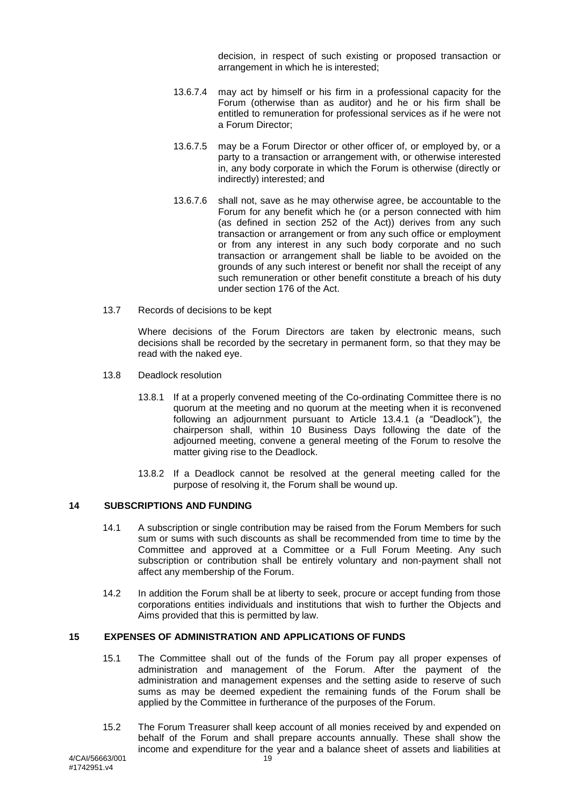decision, in respect of such existing or proposed transaction or arrangement in which he is interested;

- 13.6.7.4 may act by himself or his firm in a professional capacity for the Forum (otherwise than as auditor) and he or his firm shall be entitled to remuneration for professional services as if he were not a Forum Director;
- 13.6.7.5 may be a Forum Director or other officer of, or employed by, or a party to a transaction or arrangement with, or otherwise interested in, any body corporate in which the Forum is otherwise (directly or indirectly) interested; and
- 13.6.7.6 shall not, save as he may otherwise agree, be accountable to the Forum for any benefit which he (or a person connected with him (as defined in section 252 of the Act)) derives from any such transaction or arrangement or from any such office or employment or from any interest in any such body corporate and no such transaction or arrangement shall be liable to be avoided on the grounds of any such interest or benefit nor shall the receipt of any such remuneration or other benefit constitute a breach of his duty under section 176 of the Act.
- 13.7 Records of decisions to be kept

Where decisions of the Forum Directors are taken by electronic means, such decisions shall be recorded by the secretary in permanent form, so that they may be read with the naked eye.

- 13.8 Deadlock resolution
	- 13.8.1 If at a properly convened meeting of the Co-ordinating Committee there is no quorum at the meeting and no quorum at the meeting when it is reconvened following an adjournment pursuant to Article [13.4.1](#page-16-3) (a "Deadlock"), the chairperson shall, within 10 Business Days following the date of the adjourned meeting, convene a general meeting of the Forum to resolve the matter giving rise to the Deadlock.
	- 13.8.2 If a Deadlock cannot be resolved at the general meeting called for the purpose of resolving it, the Forum shall be wound up.

#### <span id="page-18-0"></span>**14 SUBSCRIPTIONS AND FUNDING**

- 14.1 A subscription or single contribution may be raised from the Forum Members for such sum or sums with such discounts as shall be recommended from time to time by the Committee and approved at a Committee or a Full Forum Meeting. Any such subscription or contribution shall be entirely voluntary and non-payment shall not affect any membership of the Forum.
- 14.2 In addition the Forum shall be at liberty to seek, procure or accept funding from those corporations entities individuals and institutions that wish to further the Objects and Aims provided that this is permitted by law.

#### <span id="page-18-1"></span>**15 EXPENSES OF ADMINISTRATION AND APPLICATIONS OF FUNDS**

- 15.1 The Committee shall out of the funds of the Forum pay all proper expenses of administration and management of the Forum. After the payment of the administration and management expenses and the setting aside to reserve of such sums as may be deemed expedient the remaining funds of the Forum shall be applied by the Committee in furtherance of the purposes of the Forum.
- 15.2 The Forum Treasurer shall keep account of all monies received by and expended on behalf of the Forum and shall prepare accounts annually. These shall show the income and expenditure for the year and a balance sheet of assets and liabilities at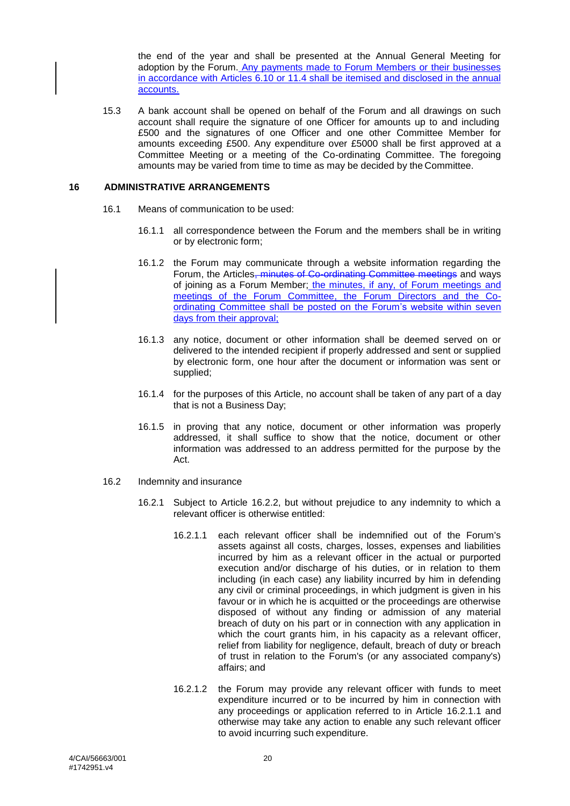the end of the year and shall be presented at the Annual General Meeting for adoption by the Forum. Any payments made to Forum Members or their businesses in accordance with Articles 6.10 or 11.4 shall be itemised and disclosed in the annual accounts.

15.3 A bank account shall be opened on behalf of the Forum and all drawings on such account shall require the signature of one Officer for amounts up to and including £500 and the signatures of one Officer and one other Committee Member for amounts exceeding £500. Any expenditure over £5000 shall be first approved at a Committee Meeting or a meeting of the Co-ordinating Committee. The foregoing amounts may be varied from time to time as may be decided by the Committee.

#### <span id="page-19-0"></span>**16 ADMINISTRATIVE ARRANGEMENTS**

- 16.1 Means of communication to be used:
	- 16.1.1 all correspondence between the Forum and the members shall be in writing or by electronic form;
	- 16.1.2 the Forum may communicate through a website information regarding the Forum, the Articles, minutes of Co-ordinating Committee meetings and ways of joining as a Forum Member; the minutes, if any, of Forum meetings and meetings of the Forum Committee, the Forum Directors and the Coordinating Committee shall be posted on the Forum's website within seven days from their approval;
	- 16.1.3 any notice, document or other information shall be deemed served on or delivered to the intended recipient if properly addressed and sent or supplied by electronic form, one hour after the document or information was sent or supplied;
	- 16.1.4 for the purposes of this Article, no account shall be taken of any part of a day that is not a Business Day;
	- 16.1.5 in proving that any notice, document or other information was properly addressed, it shall suffice to show that the notice, document or other information was addressed to an address permitted for the purpose by the Act.
- <span id="page-19-1"></span>16.2 Indemnity and insurance
	- 16.2.1 Subject to Article [16.2.2,](#page-20-0) but without prejudice to any indemnity to which a relevant officer is otherwise entitled:
		- 16.2.1.1 each relevant officer shall be indemnified out of the Forum's assets against all costs, charges, losses, expenses and liabilities incurred by him as a relevant officer in the actual or purported execution and/or discharge of his duties, or in relation to them including (in each case) any liability incurred by him in defending any civil or criminal proceedings, in which judgment is given in his favour or in which he is acquitted or the proceedings are otherwise disposed of without any finding or admission of any material breach of duty on his part or in connection with any application in which the court grants him, in his capacity as a relevant officer, relief from liability for negligence, default, breach of duty or breach of trust in relation to the Forum's (or any associated company's) affairs; and
		- 16.2.1.2 the Forum may provide any relevant officer with funds to meet expenditure incurred or to be incurred by him in connection with any proceedings or application referred to in Article [16.2.1.1](#page-19-1) and otherwise may take any action to enable any such relevant officer to avoid incurring such expenditure.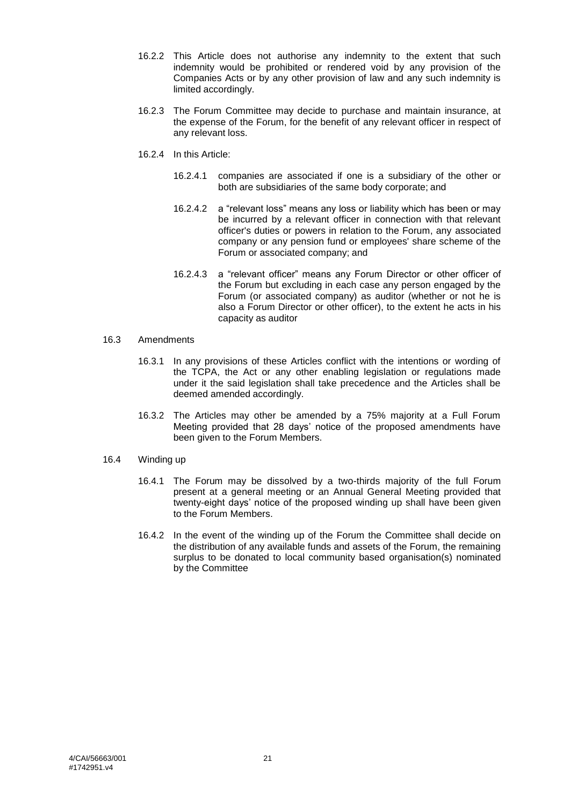- <span id="page-20-0"></span>16.2.2 This Article does not authorise any indemnity to the extent that such indemnity would be prohibited or rendered void by any provision of the Companies Acts or by any other provision of law and any such indemnity is limited accordingly.
- 16.2.3 The Forum Committee may decide to purchase and maintain insurance, at the expense of the Forum, for the benefit of any relevant officer in respect of any relevant loss.
- 16.2.4 In this Article:
	- 16.2.4.1 companies are associated if one is a subsidiary of the other or both are subsidiaries of the same body corporate; and
	- 16.2.4.2 a "relevant loss" means any loss or liability which has been or may be incurred by a relevant officer in connection with that relevant officer's duties or powers in relation to the Forum, any associated company or any pension fund or employees' share scheme of the Forum or associated company; and
	- 16.2.4.3 a "relevant officer" means any Forum Director or other officer of the Forum but excluding in each case any person engaged by the Forum (or associated company) as auditor (whether or not he is also a Forum Director or other officer), to the extent he acts in his capacity as auditor
- 16.3 Amendments
	- 16.3.1 In any provisions of these Articles conflict with the intentions or wording of the TCPA, the Act or any other enabling legislation or regulations made under it the said legislation shall take precedence and the Articles shall be deemed amended accordingly.
	- 16.3.2 The Articles may other be amended by a 75% majority at a Full Forum Meeting provided that 28 days' notice of the proposed amendments have been given to the Forum Members.
- 16.4 Winding up
	- 16.4.1 The Forum may be dissolved by a two-thirds majority of the full Forum present at a general meeting or an Annual General Meeting provided that twenty-eight days' notice of the proposed winding up shall have been given to the Forum Members.
	- 16.4.2 In the event of the winding up of the Forum the Committee shall decide on the distribution of any available funds and assets of the Forum, the remaining surplus to be donated to local community based organisation(s) nominated by the Committee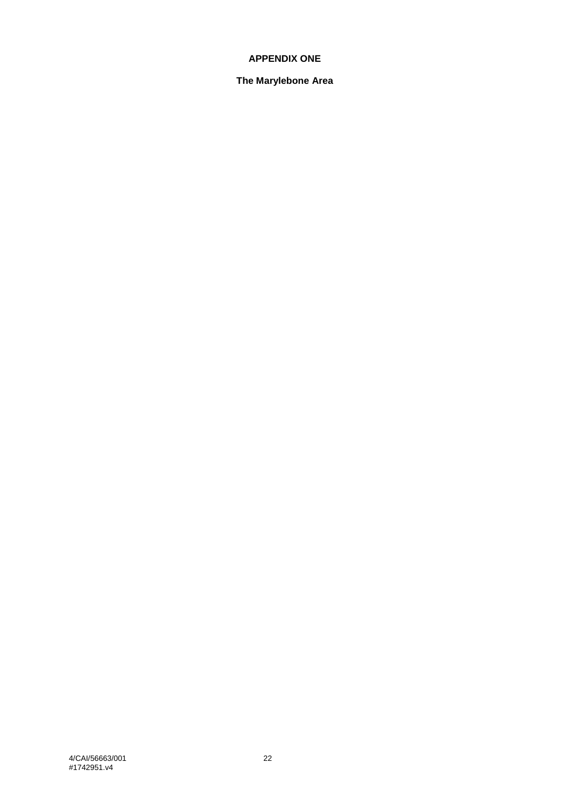# **APPENDIX ONE**

## **The Marylebone Area**